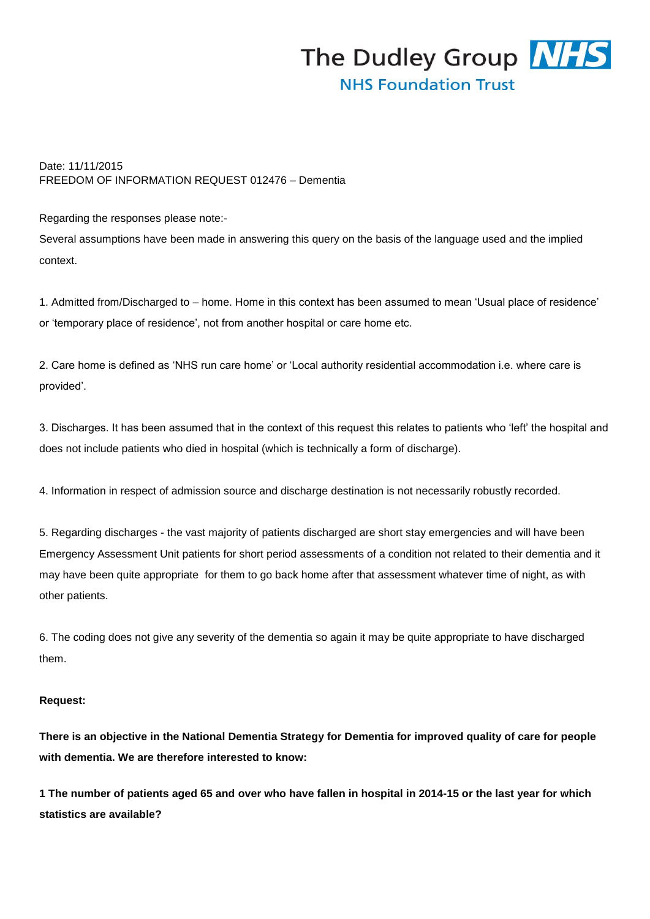# The Dudley Group NHS **NHS Foundation Trust**

Date: 11/11/2015 FREEDOM OF INFORMATION REQUEST 012476 – Dementia

Regarding the responses please note:-

Several assumptions have been made in answering this query on the basis of the language used and the implied context.

1. Admitted from/Discharged to – home. Home in this context has been assumed to mean 'Usual place of residence' or 'temporary place of residence', not from another hospital or care home etc.

2. Care home is defined as 'NHS run care home' or 'Local authority residential accommodation i.e. where care is provided'.

3. Discharges. It has been assumed that in the context of this request this relates to patients who 'left' the hospital and does not include patients who died in hospital (which is technically a form of discharge).

4. Information in respect of admission source and discharge destination is not necessarily robustly recorded.

5. Regarding discharges - the vast majority of patients discharged are short stay emergencies and will have been Emergency Assessment Unit patients for short period assessments of a condition not related to their dementia and it may have been quite appropriate for them to go back home after that assessment whatever time of night, as with other patients.

6. The coding does not give any severity of the dementia so again it may be quite appropriate to have discharged them.

## **Request:**

**There is an objective in the National Dementia Strategy for Dementia for improved quality of care for people with dementia. We are therefore interested to know:**

**1 The number of patients aged 65 and over who have fallen in hospital in 2014-15 or the last year for which statistics are available?**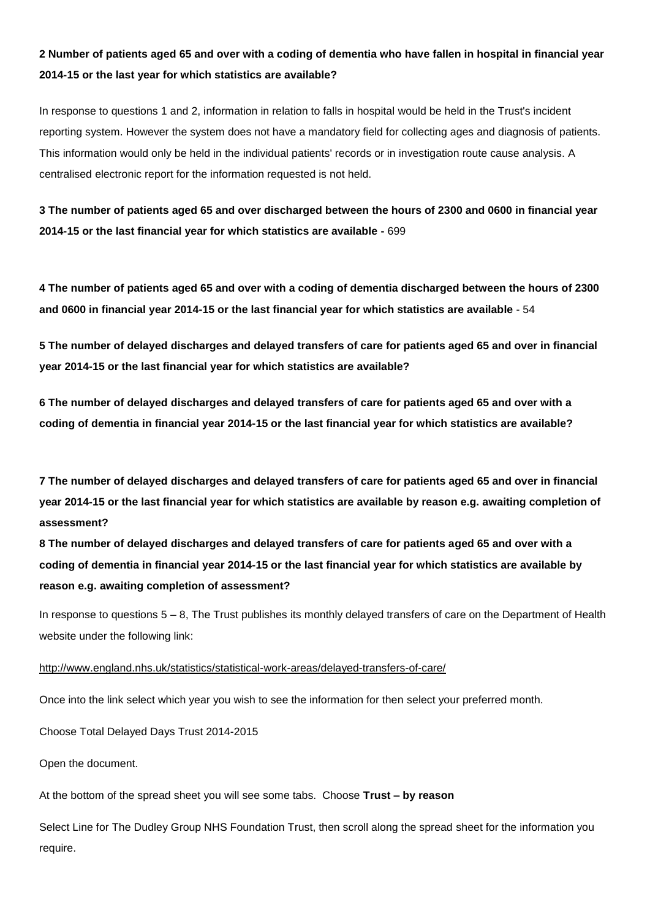## **2 Number of patients aged 65 and over with a coding of dementia who have fallen in hospital in financial year 2014-15 or the last year for which statistics are available?**

In response to questions 1 and 2, information in relation to falls in hospital would be held in the Trust's incident reporting system. However the system does not have a mandatory field for collecting ages and diagnosis of patients. This information would only be held in the individual patients' records or in investigation route cause analysis. A centralised electronic report for the information requested is not held.

**3 The number of patients aged 65 and over discharged between the hours of 2300 and 0600 in financial year 2014-15 or the last financial year for which statistics are available -** 699

**4 The number of patients aged 65 and over with a coding of dementia discharged between the hours of 2300 and 0600 in financial year 2014-15 or the last financial year for which statistics are available** - 54

**5 The number of delayed discharges and delayed transfers of care for patients aged 65 and over in financial year 2014-15 or the last financial year for which statistics are available?**

**6 The number of delayed discharges and delayed transfers of care for patients aged 65 and over with a coding of dementia in financial year 2014-15 or the last financial year for which statistics are available?**

**7 The number of delayed discharges and delayed transfers of care for patients aged 65 and over in financial year 2014-15 or the last financial year for which statistics are available by reason e.g. awaiting completion of assessment?** 

**8 The number of delayed discharges and delayed transfers of care for patients aged 65 and over with a coding of dementia in financial year 2014-15 or the last financial year for which statistics are available by reason e.g. awaiting completion of assessment?**

In response to questions 5 – 8, The Trust publishes its monthly delayed transfers of care on the Department of Health website under the following link:

#### <http://www.england.nhs.uk/statistics/statistical-work-areas/delayed-transfers-of-care/>

Once into the link select which year you wish to see the information for then select your preferred month.

Choose Total Delayed Days Trust 2014-2015

Open the document.

At the bottom of the spread sheet you will see some tabs. Choose **Trust – by reason**

Select Line for The Dudley Group NHS Foundation Trust, then scroll along the spread sheet for the information you require.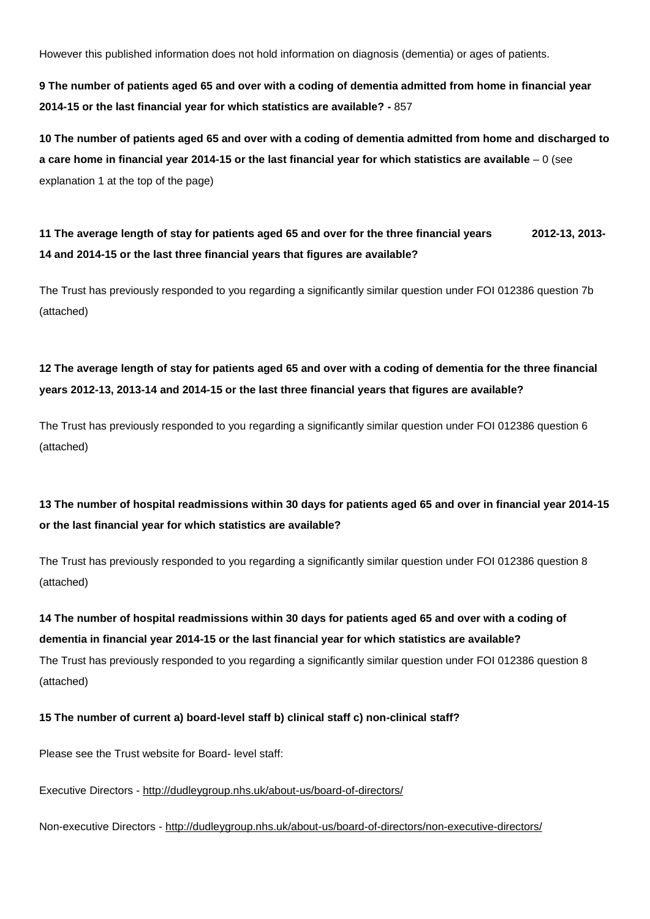However this published information does not hold information on diagnosis (dementia) or ages of patients.

**9 The number of patients aged 65 and over with a coding of dementia admitted from home in financial year 2014-15 or the last financial year for which statistics are available? -** 857

**10 The number of patients aged 65 and over with a coding of dementia admitted from home and discharged to a care home in financial year 2014-15 or the last financial year for which statistics are available** – 0 (see explanation 1 at the top of the page)

**11 The average length of stay for patients aged 65 and over for the three financial years 2012-13, 2013- 14 and 2014-15 or the last three financial years that figures are available?**

The Trust has previously responded to you regarding a significantly similar question under FOI 012386 question 7b (attached)

# **12 The average length of stay for patients aged 65 and over with a coding of dementia for the three financial years 2012-13, 2013-14 and 2014-15 or the last three financial years that figures are available?**

The Trust has previously responded to you regarding a significantly similar question under FOI 012386 question 6 (attached)

## **13 The number of hospital readmissions within 30 days for patients aged 65 and over in financial year 2014-15 or the last financial year for which statistics are available?**

The Trust has previously responded to you regarding a significantly similar question under FOI 012386 question 8 (attached)

**14 The number of hospital readmissions within 30 days for patients aged 65 and over with a coding of dementia in financial year 2014-15 or the last financial year for which statistics are available?**  The Trust has previously responded to you regarding a significantly similar question under FOI 012386 question 8 (attached)

## **15 The number of current a) board-level staff b) clinical staff c) non-clinical staff?**

Please see the Trust website for Board- level staff:

Executive Directors - <http://dudleygroup.nhs.uk/about-us/board-of-directors/>

Non-executive Directors - <http://dudleygroup.nhs.uk/about-us/board-of-directors/non-executive-directors/>